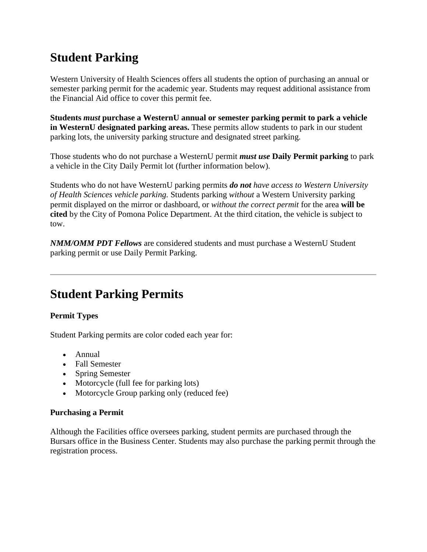# **Student Parking**

Western University of Health Sciences offers all students the option of purchasing an annual or semester parking permit for the academic year. Students may request additional assistance from the Financial Aid office to cover this permit fee.

**Students** *must* **purchase a WesternU annual or semester parking permit to park a vehicle in WesternU designated parking areas.** These permits allow students to park in our student parking lots, the university parking structure and designated street parking.

Those students who do not purchase a WesternU permit *must use* **Daily Permit parking** to park a vehicle in the City Daily Permit lot (further information below).

Students who do not have WesternU parking permits *do not have access to Western University of Health Sciences vehicle parking.* Students parking *without* a Western University parking permit displayed on the mirror or dashboard, or *without the correct permit* for the area **will be cited** by the City of Pomona Police Department. At the third citation, the vehicle is subject to tow.

*NMM/OMM PDT Fellows* are considered students and must purchase a WesternU Student parking permit or use Daily Permit Parking.

## **Student Parking Permits**

## **Permit Types**

Student Parking permits are color coded each year for:

- Annual
- Fall Semester
- Spring Semester
- Motorcycle (full fee for parking lots)
- Motorcycle Group parking only (reduced fee)

#### **Purchasing a Permit**

Although the Facilities office oversees parking, student permits are purchased through the Bursars office in the Business Center. Students may also purchase the parking permit through the registration process.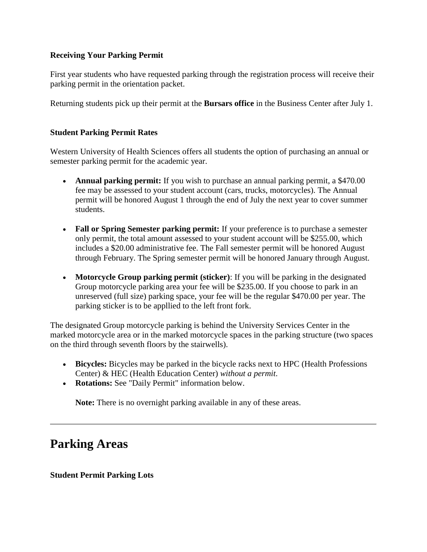### **Receiving Your Parking Permit**

First year students who have requested parking through the registration process will receive their parking permit in the orientation packet.

Returning students pick up their permit at the **Bursars office** in the Business Center after July 1.

#### **Student Parking Permit Rates**

Western University of Health Sciences offers all students the option of purchasing an annual or semester parking permit for the academic year.

- **Annual parking permit:** If you wish to purchase an annual parking permit, a \$470.00 fee may be assessed to your student account (cars, trucks, motorcycles). The Annual permit will be honored August 1 through the end of July the next year to cover summer students.
- **Fall or Spring Semester parking permit:** If your preference is to purchase a semester only permit, the total amount assessed to your student account will be \$255.00, which includes a \$20.00 administrative fee. The Fall semester permit will be honored August through February. The Spring semester permit will be honored January through August.
- **Motorcycle Group parking permit (sticker)**: If you will be parking in the designated Group motorcycle parking area your fee will be \$235.00. If you choose to park in an unreserved (full size) parking space, your fee will be the regular \$470.00 per year. The parking sticker is to be appllied to the left front fork.

The designated Group motorcycle parking is behind the University Services Center in the marked motorcycle area or in the marked motorcycle spaces in the parking structure (two spaces on the third through seventh floors by the stairwells).

- **Bicycles:** Bicycles may be parked in the bicycle racks next to HPC (Health Professions Center) & HEC (Health Education Center) *without a permit*.
- **Rotations:** See "Daily Permit" information below.

**Note:** There is no overnight parking available in any of these areas.

## **Parking Areas**

**Student Permit Parking Lots**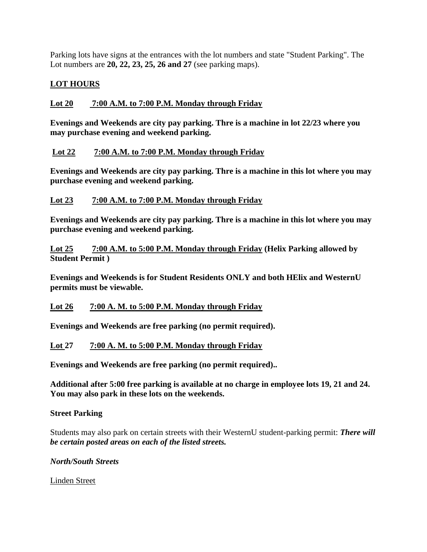Parking lots have signs at the entrances with the lot numbers and state "Student Parking". The Lot numbers are **20, 22, 23, 25, 26 and 27** (see parking maps).

## **LOT HOURS**

## **Lot 20 7:00 A.M. to 7:00 P.M. Monday through Friday**

**Evenings and Weekends are city pay parking. Thre is a machine in lot 22/23 where you may purchase evening and weekend parking.** 

### **Lot 22 7:00 A.M. to 7:00 P.M. Monday through Friday**

**Evenings and Weekends are city pay parking. Thre is a machine in this lot where you may purchase evening and weekend parking.** 

### **Lot 23 7:00 A.M. to 7:00 P.M. Monday through Friday**

**Evenings and Weekends are city pay parking. Thre is a machine in this lot where you may purchase evening and weekend parking.** 

**Lot 25 7:00 A.M. to 5:00 P.M. Monday through Friday (Helix Parking allowed by Student Permit )**

**Evenings and Weekends is for Student Residents ONLY and both HElix and WesternU permits must be viewable.**

### **Lot 26 7:00 A. M. to 5:00 P.M. Monday through Friday**

**Evenings and Weekends are free parking (no permit required).**

## **Lot 27 7:00 A. M. to 5:00 P.M. Monday through Friday**

**Evenings and Weekends are free parking (no permit required)..**

**Additional after 5:00 free parking is available at no charge in employee lots 19, 21 and 24. You may also park in these lots on the weekends.** 

### **Street Parking**

Students may also park on certain streets with their WesternU student-parking permit: *There will be certain posted areas on each of the listed streets.*

### *North/South Streets*

Linden Street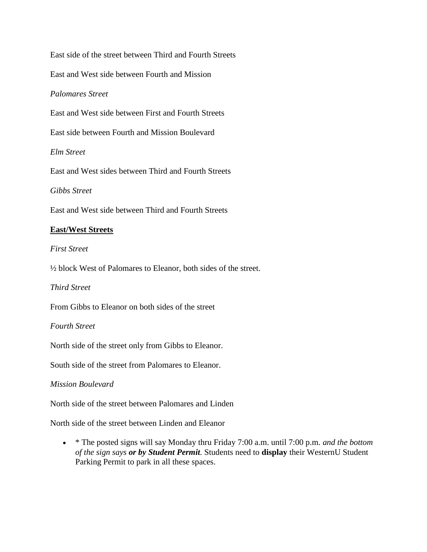East side of the street between Third and Fourth Streets East and West side between Fourth and Mission *Palomares Street* East and West side between First and Fourth Streets East side between Fourth and Mission Boulevard *Elm Street* East and West sides between Third and Fourth Streets *Gibbs Street* East and West side between Third and Fourth Streets **East/West Streets**

*First Street*

½ block West of Palomares to Eleanor, both sides of the street.

*Third Street*

From Gibbs to Eleanor on both sides of the street

*Fourth Street*

North side of the street only from Gibbs to Eleanor.

South side of the street from Palomares to Eleanor.

#### *Mission Boulevard*

North side of the street between Palomares and Linden

North side of the street between Linden and Eleanor

 \* The posted signs will say Monday thru Friday 7:00 a.m. until 7:00 p.m. *and the bottom of the sign says or by Student Permit.* Students need to **display** their WesternU Student Parking Permit to park in all these spaces.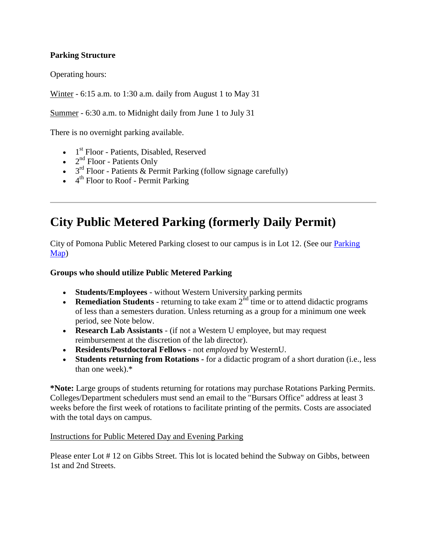### **Parking Structure**

Operating hours:

Winter - 6:15 a.m. to 1:30 a.m. daily from August 1 to May 31

Summer - 6:30 a.m. to Midnight daily from June 1 to July 31

There is no overnight parking available.

- 1<sup>st</sup> Floor Patients, Disabled, Reserved
- $\bullet$   $2<sup>nd</sup>$  Floor Patients Only
- $\bullet$  3<sup>rd</sup> Floor Patients & Permit Parking (follow signage carefully)
- $\bullet$  4<sup>th</sup> Floor to Roof Permit Parking

# **City Public Metered Parking (formerly Daily Permit)**

City of Pomona Public Metered Parking closest to our campus is in Lot 12. (See our [Parking](http://www.westernu.edu/parking)  [Map\)](http://www.westernu.edu/parking)

### **Groups who should utilize Public Metered Parking**

- **Students/Employees** without Western University parking permits
- **Remediation Students** returning to take exam  $2^{nd}$  time or to attend didactic programs of less than a semesters duration. Unless returning as a group for a minimum one week period, see Note below.
- **Research Lab Assistants** (if not a Western U employee, but may request reimbursement at the discretion of the lab director).
- **Residents/Postdoctoral Fellows** not *employed* by WesternU.
- **Students returning from Rotations -** for a didactic program of a short duration (i.e., less than one week).\*

**\*Note:** Large groups of students returning for rotations may purchase Rotations Parking Permits. Colleges/Department schedulers must send an email to the "Bursars Office" address at least 3 weeks before the first week of rotations to facilitate printing of the permits. Costs are associated with the total days on campus.

### Instructions for Public Metered Day and Evening Parking

Please enter Lot # 12 on Gibbs Street. This lot is located behind the Subway on Gibbs, between 1st and 2nd Streets.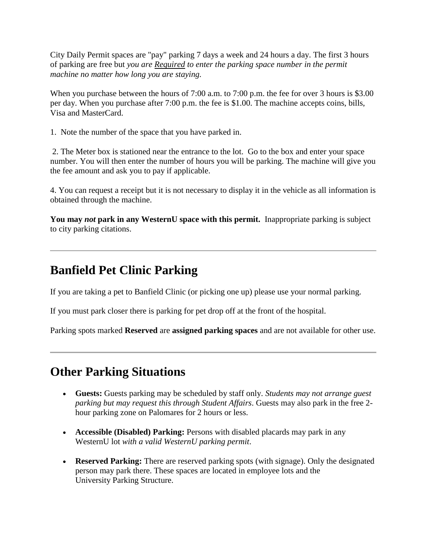City Daily Permit spaces are "pay" parking 7 days a week and 24 hours a day. The first 3 hours of parking are free but *you are Required to enter the parking space number in the permit machine no matter how long you are staying.* 

When you purchase between the hours of 7:00 a.m. to 7:00 p.m. the fee for over 3 hours is \$3.00 per day. When you purchase after 7:00 p.m. the fee is \$1.00. The machine accepts coins, bills, Visa and MasterCard.

1. Note the number of the space that you have parked in.

2. The Meter box is stationed near the entrance to the lot. Go to the box and enter your space number. You will then enter the number of hours you will be parking. The machine will give you the fee amount and ask you to pay if applicable.

4. You can request a receipt but it is not necessary to display it in the vehicle as all information is obtained through the machine.

**You may** *not* **park in any WesternU space with this permit.** Inappropriate parking is subject to city parking citations.

## **Banfield Pet Clinic Parking**

If you are taking a pet to Banfield Clinic (or picking one up) please use your normal parking.

If you must park closer there is parking for pet drop off at the front of the hospital.

Parking spots marked **Reserved** are **assigned parking spaces** and are not available for other use.

## **Other Parking Situations**

- **Guests:** Guests parking may be scheduled by staff only. *Students may not arrange guest parking but may request this through Student Affairs*. Guests may also park in the free 2 hour parking zone on Palomares for 2 hours or less.
- **Accessible (Disabled) Parking:** Persons with disabled placards may park in any WesternU lot *with a valid WesternU parking permit*.
- **Reserved Parking:** There are reserved parking spots (with signage). Only the designated person may park there. These spaces are located in employee lots and the University Parking Structure.